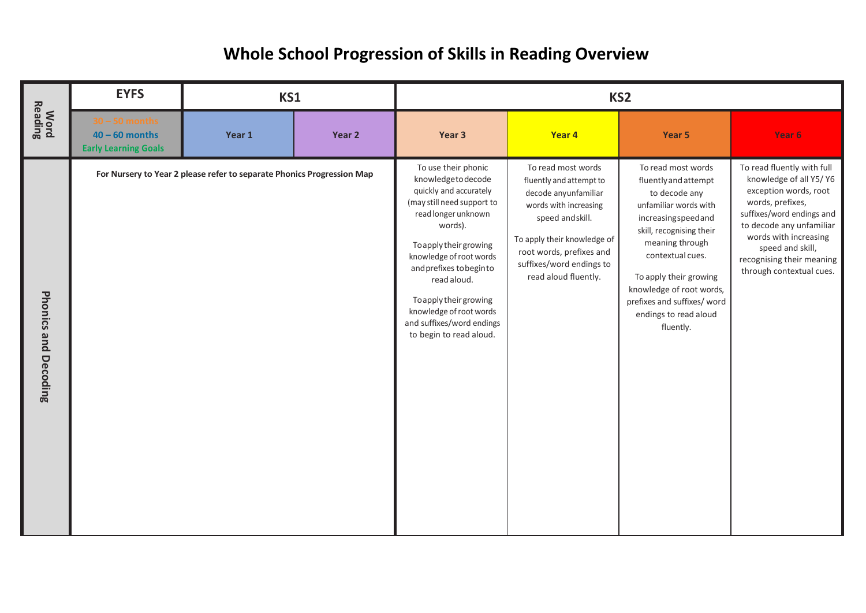## **Whole School Progression of Skills in Reading Overview**

|                                       | <b>EYFS</b>                                                         | KS1                                                                    |        | KS <sub>2</sub>                                                                                                                                                                                                                                                                                                                                |                                                                                                                                                                                                                                   |                                                                                                                                                                                                                                                                                                          |                                                                                                                                                                                                                                                                  |  |
|---------------------------------------|---------------------------------------------------------------------|------------------------------------------------------------------------|--------|------------------------------------------------------------------------------------------------------------------------------------------------------------------------------------------------------------------------------------------------------------------------------------------------------------------------------------------------|-----------------------------------------------------------------------------------------------------------------------------------------------------------------------------------------------------------------------------------|----------------------------------------------------------------------------------------------------------------------------------------------------------------------------------------------------------------------------------------------------------------------------------------------------------|------------------------------------------------------------------------------------------------------------------------------------------------------------------------------------------------------------------------------------------------------------------|--|
| <b>Word</b><br>Reading                | $30 - 50$ months<br>$40 - 60$ months<br><b>Early Learning Goals</b> | Year 1                                                                 | Year 2 | Year 3                                                                                                                                                                                                                                                                                                                                         | Year 4                                                                                                                                                                                                                            | Year 5                                                                                                                                                                                                                                                                                                   | Year 6                                                                                                                                                                                                                                                           |  |
| <b>Phonics and</b><br><b>Decoding</b> |                                                                     | For Nursery to Year 2 please refer to separate Phonics Progression Map |        | To use their phonic<br>knowledgetodecode<br>quickly and accurately<br>(may still need support to<br>read longer unknown<br>words).<br>To apply their growing<br>knowledge of root words<br>and prefixes to beginto<br>read aloud.<br>To apply their growing<br>knowledge of root words<br>and suffixes/word endings<br>to begin to read aloud. | To read most words<br>fluently and attempt to<br>decode anyunfamiliar<br>words with increasing<br>speed and skill.<br>To apply their knowledge of<br>root words, prefixes and<br>suffixes/word endings to<br>read aloud fluently. | To read most words<br>fluently and attempt<br>to decode any<br>unfamiliar words with<br>increasingspeedand<br>skill, recognising their<br>meaning through<br>contextual cues.<br>To apply their growing<br>knowledge of root words,<br>prefixes and suffixes/ word<br>endings to read aloud<br>fluently. | To read fluently with full<br>knowledge of all Y5/Y6<br>exception words, root<br>words, prefixes,<br>suffixes/word endings and<br>to decode any unfamiliar<br>words with increasing<br>speed and skill,<br>recognising their meaning<br>through contextual cues. |  |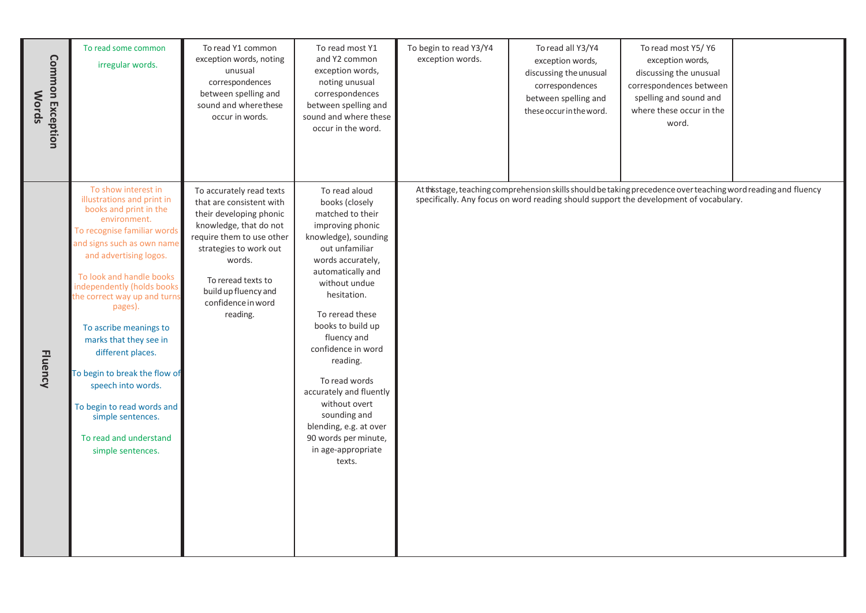| Common Exception<br><b>Words</b> | To read some common<br>irregular words.                                                                                                                                                                                                                                                                                                                                                                                                                                                                                  | To read Y1 common<br>exception words, noting<br>unusual<br>correspondences<br>between spelling and<br>sound and wherethese<br>occur in words.                                                                                                              | To read most Y1<br>and Y2 common<br>exception words,<br>noting unusual<br>correspondences<br>between spelling and<br>sound and where these<br>occur in the word.                                                                                                                                                                                                                                                                                    | To begin to read Y3/Y4<br>exception words. | To read all Y3/Y4<br>exception words,<br>discussing the unusual<br>correspondences<br>between spelling and<br>these occur in the word. | To read most Y5/ Y6<br>exception words,<br>discussing the unusual<br>correspondences between<br>spelling and sound and<br>where these occur in the<br>word.                                              |  |
|----------------------------------|--------------------------------------------------------------------------------------------------------------------------------------------------------------------------------------------------------------------------------------------------------------------------------------------------------------------------------------------------------------------------------------------------------------------------------------------------------------------------------------------------------------------------|------------------------------------------------------------------------------------------------------------------------------------------------------------------------------------------------------------------------------------------------------------|-----------------------------------------------------------------------------------------------------------------------------------------------------------------------------------------------------------------------------------------------------------------------------------------------------------------------------------------------------------------------------------------------------------------------------------------------------|--------------------------------------------|----------------------------------------------------------------------------------------------------------------------------------------|----------------------------------------------------------------------------------------------------------------------------------------------------------------------------------------------------------|--|
| <b>Fluency</b>                   | To show interest in<br>illustrations and print in<br>books and print in the<br>environment.<br>To recognise familiar words<br>and signs such as own name<br>and advertising logos.<br>To look and handle books<br>independently (holds books<br>he correct way up and turns<br>pages).<br>To ascribe meanings to<br>marks that they see in<br>different places.<br>To begin to break the flow of<br>speech into words.<br>To begin to read words and<br>simple sentences.<br>To read and understand<br>simple sentences. | To accurately read texts<br>that are consistent with<br>their developing phonic<br>knowledge, that do not<br>require them to use other<br>strategies to work out<br>words.<br>To reread texts to<br>build up fluency and<br>confidence in word<br>reading. | To read aloud<br>books (closely<br>matched to their<br>improving phonic<br>knowledge), sounding<br>out unfamiliar<br>words accurately,<br>automatically and<br>without undue<br>hesitation.<br>To reread these<br>books to build up<br>fluency and<br>confidence in word<br>reading.<br>To read words<br>accurately and fluently<br>without overt<br>sounding and<br>blending, e.g. at over<br>90 words per minute,<br>in age-appropriate<br>texts. |                                            |                                                                                                                                        | At this stage, teaching comprehension skills should be taking precedence over teaching word reading and fluency<br>specifically. Any focus on word reading should support the development of vocabulary. |  |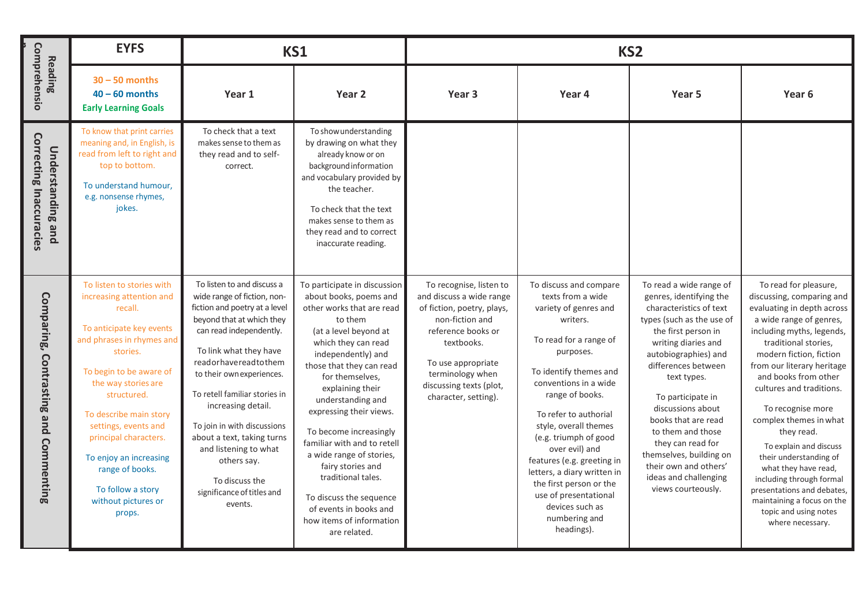| Comprehensio<br>Reading                                    | <b>EYFS</b>                                                                                                                                                                                                                                                                                                                                                                          |                                                                                                                                                                                                                                                                                                                                                                                                                                                          | KS1                                                                                                                                                                                                                                                                                                                                                                                                                                                                                                                      |                                                                                                                                                                                                                                       | KS <sub>2</sub>                                                                                                                                                                                                                                                                                                                                                                                                                                               |                                                                                                                                                                                                                                                                                                                                                                                                                                      |                                                                                                                                                                                                                                                                                                                                                                                                                                                                                                                                                             |  |
|------------------------------------------------------------|--------------------------------------------------------------------------------------------------------------------------------------------------------------------------------------------------------------------------------------------------------------------------------------------------------------------------------------------------------------------------------------|----------------------------------------------------------------------------------------------------------------------------------------------------------------------------------------------------------------------------------------------------------------------------------------------------------------------------------------------------------------------------------------------------------------------------------------------------------|--------------------------------------------------------------------------------------------------------------------------------------------------------------------------------------------------------------------------------------------------------------------------------------------------------------------------------------------------------------------------------------------------------------------------------------------------------------------------------------------------------------------------|---------------------------------------------------------------------------------------------------------------------------------------------------------------------------------------------------------------------------------------|---------------------------------------------------------------------------------------------------------------------------------------------------------------------------------------------------------------------------------------------------------------------------------------------------------------------------------------------------------------------------------------------------------------------------------------------------------------|--------------------------------------------------------------------------------------------------------------------------------------------------------------------------------------------------------------------------------------------------------------------------------------------------------------------------------------------------------------------------------------------------------------------------------------|-------------------------------------------------------------------------------------------------------------------------------------------------------------------------------------------------------------------------------------------------------------------------------------------------------------------------------------------------------------------------------------------------------------------------------------------------------------------------------------------------------------------------------------------------------------|--|
|                                                            | $30 - 50$ months<br>$40 - 60$ months<br><b>Early Learning Goals</b>                                                                                                                                                                                                                                                                                                                  | Year 1                                                                                                                                                                                                                                                                                                                                                                                                                                                   | Year 2                                                                                                                                                                                                                                                                                                                                                                                                                                                                                                                   | Year <sub>3</sub>                                                                                                                                                                                                                     | Year 4                                                                                                                                                                                                                                                                                                                                                                                                                                                        | Year 5                                                                                                                                                                                                                                                                                                                                                                                                                               | Year 6                                                                                                                                                                                                                                                                                                                                                                                                                                                                                                                                                      |  |
| <b>Correcting Inaccuracies</b><br><b>Understanding and</b> | To know that print carries<br>meaning and, in English, is<br>read from left to right and<br>top to bottom.<br>To understand humour,<br>e.g. nonsense rhymes,<br>jokes.                                                                                                                                                                                                               | To check that a text<br>makes sense to them as<br>they read and to self-<br>correct.                                                                                                                                                                                                                                                                                                                                                                     | To show understanding<br>by drawing on what they<br>already know or on<br>background information<br>and vocabulary provided by<br>the teacher.<br>To check that the text<br>makes sense to them as<br>they read and to correct<br>inaccurate reading.                                                                                                                                                                                                                                                                    |                                                                                                                                                                                                                                       |                                                                                                                                                                                                                                                                                                                                                                                                                                                               |                                                                                                                                                                                                                                                                                                                                                                                                                                      |                                                                                                                                                                                                                                                                                                                                                                                                                                                                                                                                                             |  |
| Comparing, Contrasting and Commenting                      | To listen to stories with<br>increasing attention and<br>recall.<br>To anticipate key events<br>and phrases in rhymes and<br>stories.<br>To begin to be aware of<br>the way stories are<br>structured.<br>To describe main story<br>settings, events and<br>principal characters.<br>To enjoy an increasing<br>range of books.<br>To follow a story<br>without pictures or<br>props. | To listen to and discuss a<br>wide range of fiction, non-<br>fiction and poetry at a level<br>beyond that at which they<br>can read independently.<br>To link what they have<br>readorhavereadtothem<br>to their own experiences.<br>To retell familiar stories in<br>increasing detail.<br>To join in with discussions<br>about a text, taking turns<br>and listening to what<br>others say.<br>To discuss the<br>significance of titles and<br>events. | To participate in discussion<br>about books, poems and<br>other works that are read<br>to them<br>(at a level beyond at<br>which they can read<br>independently) and<br>those that they can read<br>for themselves,<br>explaining their<br>understanding and<br>expressing their views.<br>To become increasingly<br>familiar with and to retell<br>a wide range of stories,<br>fairy stories and<br>traditional tales.<br>To discuss the sequence<br>of events in books and<br>how items of information<br>are related. | To recognise, listen to<br>and discuss a wide range<br>of fiction, poetry, plays,<br>non-fiction and<br>reference books or<br>textbooks.<br>To use appropriate<br>terminology when<br>discussing texts (plot,<br>character, setting). | To discuss and compare<br>texts from a wide<br>variety of genres and<br>writers.<br>To read for a range of<br>purposes.<br>To identify themes and<br>conventions in a wide<br>range of books.<br>To refer to authorial<br>style, overall themes<br>(e.g. triumph of good<br>over evil) and<br>features (e.g. greeting in<br>letters, a diary written in<br>the first person or the<br>use of presentational<br>devices such as<br>numbering and<br>headings). | To read a wide range of<br>genres, identifying the<br>characteristics of text<br>types (such as the use of<br>the first person in<br>writing diaries and<br>autobiographies) and<br>differences between<br>text types.<br>To participate in<br>discussions about<br>books that are read<br>to them and those<br>they can read for<br>themselves, building on<br>their own and others'<br>ideas and challenging<br>views courteously. | To read for pleasure,<br>discussing, comparing and<br>evaluating in depth across<br>a wide range of genres,<br>including myths, legends,<br>traditional stories,<br>modern fiction, fiction<br>from our literary heritage<br>and books from other<br>cultures and traditions.<br>To recognise more<br>complex themes in what<br>they read.<br>To explain and discuss<br>their understanding of<br>what they have read,<br>including through formal<br>presentations and debates,<br>maintaining a focus on the<br>topic and using notes<br>where necessary. |  |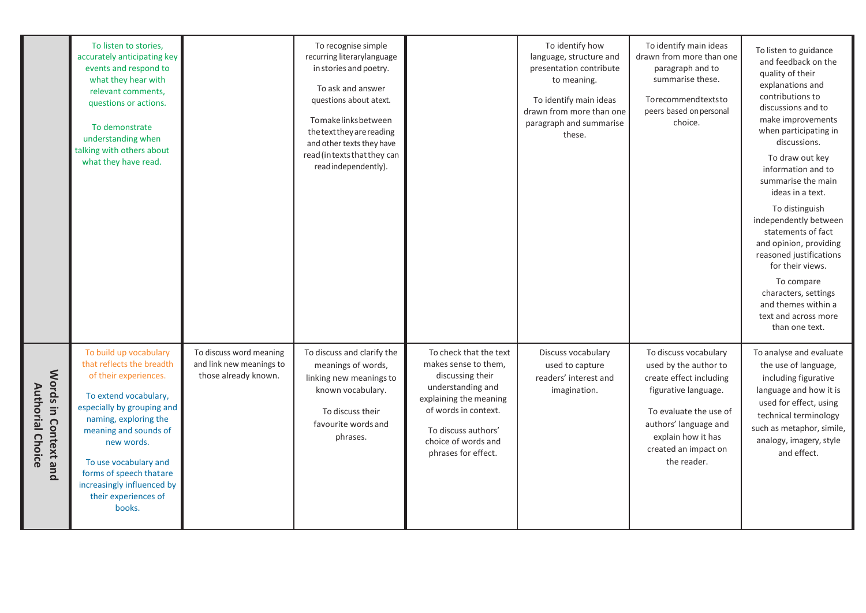|                                                 | To listen to stories,<br>accurately anticipating key<br>events and respond to<br>what they hear with<br>relevant comments,<br>questions or actions.<br>To demonstrate<br>understanding when<br>talking with others about<br>what they have read.                                                                        |                                                                             | To recognise simple<br>recurring literarylanguage<br>in stories and poetry.<br>To ask and answer<br>questions about atext.<br>Tomakelinksbetween<br>thetext they are reading<br>and other texts they have<br>read (intexts that they can<br>readindependently). |                                                                                                                                                                                                                | To identify how<br>language, structure and<br>presentation contribute<br>to meaning.<br>To identify main ideas<br>drawn from more than one<br>paragraph and summarise<br>these. | To identify main ideas<br>drawn from more than one<br>paragraph and to<br>summarise these.<br>Torecommendtextsto<br>peers based on personal<br>choice.                                                            | To listen to guidance<br>and feedback on the<br>quality of their<br>explanations and<br>contributions to<br>discussions and to<br>make improvements<br>when participating in<br>discussions.<br>To draw out key<br>information and to<br>summarise the main<br>ideas in a text.<br>To distinguish<br>independently between<br>statements of fact<br>and opinion, providing<br>reasoned justifications<br>for their views.<br>To compare<br>characters, settings<br>and themes within a<br>text and across more |
|-------------------------------------------------|-------------------------------------------------------------------------------------------------------------------------------------------------------------------------------------------------------------------------------------------------------------------------------------------------------------------------|-----------------------------------------------------------------------------|-----------------------------------------------------------------------------------------------------------------------------------------------------------------------------------------------------------------------------------------------------------------|----------------------------------------------------------------------------------------------------------------------------------------------------------------------------------------------------------------|---------------------------------------------------------------------------------------------------------------------------------------------------------------------------------|-------------------------------------------------------------------------------------------------------------------------------------------------------------------------------------------------------------------|----------------------------------------------------------------------------------------------------------------------------------------------------------------------------------------------------------------------------------------------------------------------------------------------------------------------------------------------------------------------------------------------------------------------------------------------------------------------------------------------------------------|
| Words in Context and<br><b>Authorial Choice</b> | To build up vocabulary<br>that reflects the breadth<br>of their experiences.<br>To extend vocabulary,<br>especially by grouping and<br>naming, exploring the<br>meaning and sounds of<br>new words.<br>To use vocabulary and<br>forms of speech thatare<br>increasingly influenced by<br>their experiences of<br>books. | To discuss word meaning<br>and link new meanings to<br>those already known. | To discuss and clarify the<br>meanings of words,<br>linking new meanings to<br>known vocabulary.<br>To discuss their<br>favourite words and<br>phrases.                                                                                                         | To check that the text<br>makes sense to them,<br>discussing their<br>understanding and<br>explaining the meaning<br>of words in context.<br>To discuss authors'<br>choice of words and<br>phrases for effect. | Discuss vocabulary<br>used to capture<br>readers' interest and<br>imagination.                                                                                                  | To discuss vocabulary<br>used by the author to<br>create effect including<br>figurative language.<br>To evaluate the use of<br>authors' language and<br>explain how it has<br>created an impact on<br>the reader. | than one text.<br>To analyse and evaluate<br>the use of language,<br>including figurative<br>language and how it is<br>used for effect, using<br>technical terminology<br>such as metaphor, simile,<br>analogy, imagery, style<br>and effect.                                                                                                                                                                                                                                                                  |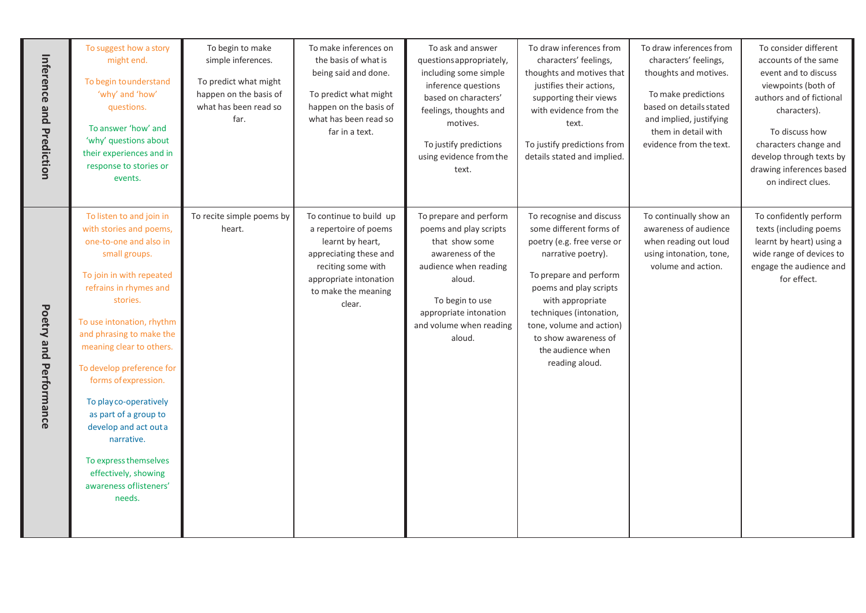| Inference and Prediction | To suggest how a story<br>might end.<br>To begin to understand<br>'why' and 'how'<br>questions.<br>To answer 'how' and<br>'why' questions about<br>their experiences and in<br>response to stories or<br>events.                                                                                                                                                                                                                                                                          | To begin to make<br>simple inferences.<br>To predict what might<br>happen on the basis of<br>what has been read so<br>far. | To make inferences on<br>the basis of what is<br>being said and done.<br>To predict what might<br>happen on the basis of<br>what has been read so<br>far in a text.             | To ask and answer<br>questions appropriately,<br>including some simple<br>inference questions<br>based on characters'<br>feelings, thoughts and<br>motives.<br>To justify predictions<br>using evidence from the<br>text. | To draw inferences from<br>characters' feelings,<br>thoughts and motives that<br>justifies their actions,<br>supporting their views<br>with evidence from the<br>text.<br>To justify predictions from<br>details stated and implied.                                                                  | To draw inferences from<br>characters' feelings,<br>thoughts and motives.<br>To make predictions<br>based on details stated<br>and implied, justifying<br>them in detail with<br>evidence from the text. | To consider different<br>accounts of the same<br>event and to discuss<br>viewpoints (both of<br>authors and of fictional<br>characters).<br>To discuss how<br>characters change and<br>develop through texts by<br>drawing inferences based<br>on indirect clues. |
|--------------------------|-------------------------------------------------------------------------------------------------------------------------------------------------------------------------------------------------------------------------------------------------------------------------------------------------------------------------------------------------------------------------------------------------------------------------------------------------------------------------------------------|----------------------------------------------------------------------------------------------------------------------------|---------------------------------------------------------------------------------------------------------------------------------------------------------------------------------|---------------------------------------------------------------------------------------------------------------------------------------------------------------------------------------------------------------------------|-------------------------------------------------------------------------------------------------------------------------------------------------------------------------------------------------------------------------------------------------------------------------------------------------------|----------------------------------------------------------------------------------------------------------------------------------------------------------------------------------------------------------|-------------------------------------------------------------------------------------------------------------------------------------------------------------------------------------------------------------------------------------------------------------------|
| Poetry and Performance   | To listen to and join in<br>with stories and poems,<br>one-to-one and also in<br>small groups.<br>To join in with repeated<br>refrains in rhymes and<br>stories.<br>To use intonation, rhythm<br>and phrasing to make the<br>meaning clear to others.<br>To develop preference for<br>forms of expression.<br>To play co-operatively<br>as part of a group to<br>develop and act out a<br>narrative.<br>To express themselves<br>effectively, showing<br>awareness oflisteners'<br>needs. | To recite simple poems by<br>heart.                                                                                        | To continue to build up<br>a repertoire of poems<br>learnt by heart,<br>appreciating these and<br>reciting some with<br>appropriate intonation<br>to make the meaning<br>clear. | To prepare and perform<br>poems and play scripts<br>that show some<br>awareness of the<br>audience when reading<br>aloud.<br>To begin to use<br>appropriate intonation<br>and volume when reading<br>aloud.               | To recognise and discuss<br>some different forms of<br>poetry (e.g. free verse or<br>narrative poetry).<br>To prepare and perform<br>poems and play scripts<br>with appropriate<br>techniques (intonation,<br>tone, volume and action)<br>to show awareness of<br>the audience when<br>reading aloud. | To continually show an<br>awareness of audience<br>when reading out loud<br>using intonation, tone,<br>volume and action.                                                                                | To confidently perform<br>texts (including poems<br>learnt by heart) using a<br>wide range of devices to<br>engage the audience and<br>for effect.                                                                                                                |
|                          |                                                                                                                                                                                                                                                                                                                                                                                                                                                                                           |                                                                                                                            |                                                                                                                                                                                 |                                                                                                                                                                                                                           |                                                                                                                                                                                                                                                                                                       |                                                                                                                                                                                                          |                                                                                                                                                                                                                                                                   |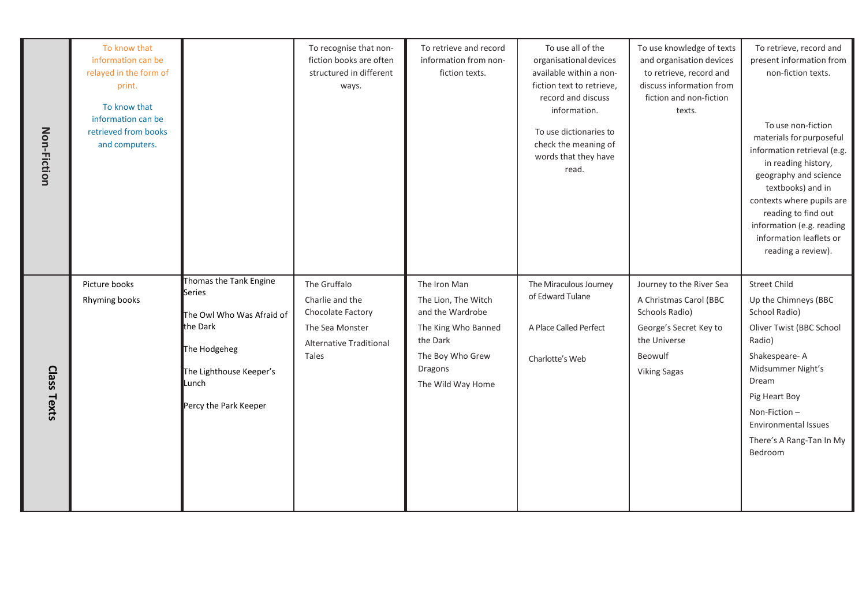| Non-Fiction    | To know that<br>information can be<br>relayed in the form of<br>print.<br>To know that<br>information can be<br>retrieved from books<br>and computers. |                                                                                                                                                               | To recognise that non-<br>fiction books are often<br>structured in different<br>ways.                       | To retrieve and record<br>information from non-<br>fiction texts.                                                                              | To use all of the<br>organisational devices<br>available within a non-<br>fiction text to retrieve,<br>record and discuss<br>information.<br>To use dictionaries to<br>check the meaning of<br>words that they have<br>read. | To use knowledge of texts<br>and organisation devices<br>to retrieve, record and<br>discuss information from<br>fiction and non-fiction<br>texts. | To retrieve, record and<br>present information from<br>non-fiction texts.<br>To use non-fiction<br>materials for purposeful<br>information retrieval (e.g.<br>in reading history,<br>geography and science<br>textbooks) and in<br>contexts where pupils are<br>reading to find out<br>information (e.g. reading<br>information leaflets or<br>reading a review). |
|----------------|--------------------------------------------------------------------------------------------------------------------------------------------------------|---------------------------------------------------------------------------------------------------------------------------------------------------------------|-------------------------------------------------------------------------------------------------------------|------------------------------------------------------------------------------------------------------------------------------------------------|------------------------------------------------------------------------------------------------------------------------------------------------------------------------------------------------------------------------------|---------------------------------------------------------------------------------------------------------------------------------------------------|-------------------------------------------------------------------------------------------------------------------------------------------------------------------------------------------------------------------------------------------------------------------------------------------------------------------------------------------------------------------|
| Class<br>Texts | Picture books<br>Rhyming books                                                                                                                         | Thomas the Tank Engine<br><b>Series</b><br>The Owl Who Was Afraid of<br>the Dark<br>The Hodgeheg<br>The Lighthouse Keeper's<br>Lunch<br>Percy the Park Keeper | The Gruffalo<br>Charlie and the<br>Chocolate Factory<br>The Sea Monster<br>Alternative Traditional<br>Tales | The Iron Man<br>The Lion, The Witch<br>and the Wardrobe<br>The King Who Banned<br>the Dark<br>The Boy Who Grew<br>Dragons<br>The Wild Way Home | The Miraculous Journey<br>of Edward Tulane<br>A Place Called Perfect<br>Charlotte's Web                                                                                                                                      | Journey to the River Sea<br>A Christmas Carol (BBC<br>Schools Radio)<br>George's Secret Key to<br>the Universe<br>Beowulf<br><b>Viking Sagas</b>  | <b>Street Child</b><br>Up the Chimneys (BBC<br>School Radio)<br>Oliver Twist (BBC School<br>Radio)<br>Shakespeare-A<br>Midsummer Night's<br>Dream<br>Pig Heart Boy<br>Non-Fiction-<br><b>Environmental Issues</b><br>There's A Rang-Tan In My<br>Bedroom                                                                                                          |